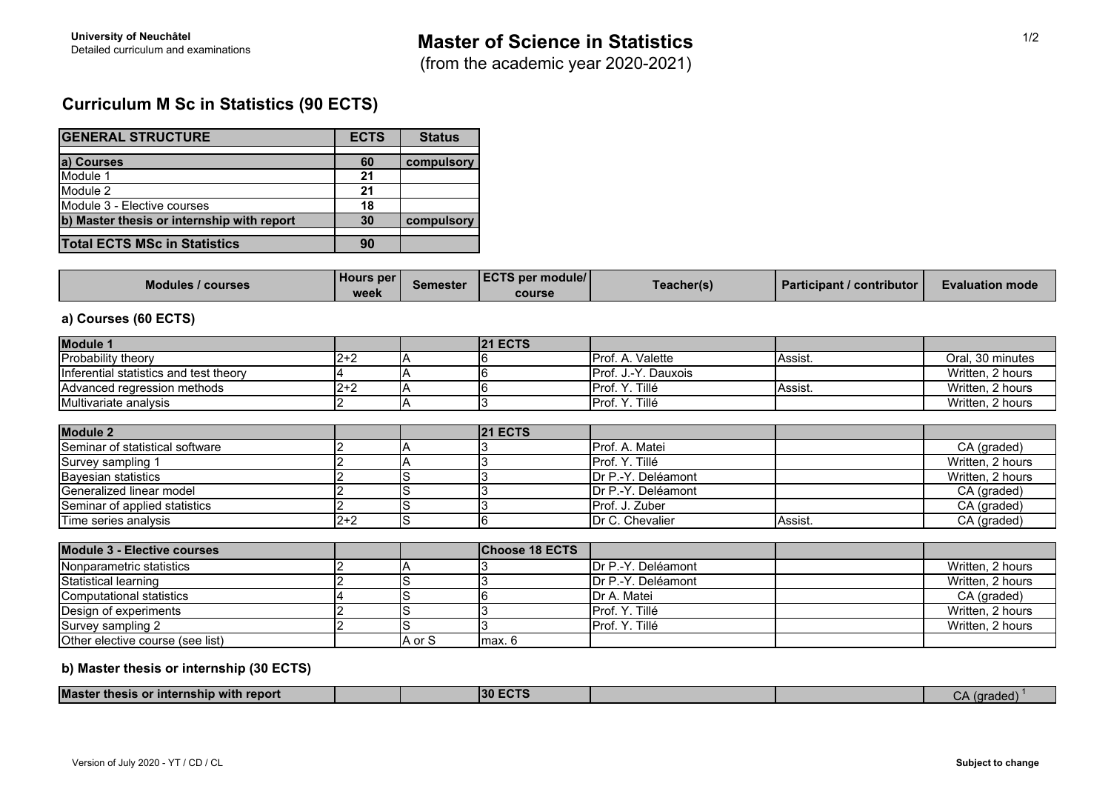## **Curriculum M Sc in Statistics (90 ECTS)**

| <b>GENERAL STRUCTURE</b>                   | <b>ECTS</b> | <b>Status</b> |
|--------------------------------------------|-------------|---------------|
|                                            |             |               |
| a) Courses                                 | 60          | compulsory    |
| Module 1                                   | 21          |               |
| Module 2                                   | 21          |               |
| Module 3 - Elective courses                | 18          |               |
| b) Master thesis or internship with report | 30          | compulsory    |
| <b>Total ECTS MSc in Statistics</b>        | 90          |               |

| <b>Modules / courses</b> | l Hours per l<br>week | Semester | <b>LECTS per module/I</b><br>course | Teacher(s) | <b>I</b> Participant / contributor <b>N</b> | <b>Evaluation mode</b> |
|--------------------------|-----------------------|----------|-------------------------------------|------------|---------------------------------------------|------------------------|
|--------------------------|-----------------------|----------|-------------------------------------|------------|---------------------------------------------|------------------------|

## **a) Courses (60 ECTS)**

| <b>Module 1</b>                        |         |        | <b>21 ECTS</b>        |                             |         |                  |
|----------------------------------------|---------|--------|-----------------------|-----------------------------|---------|------------------|
| Probability theory                     | $2 + 2$ |        |                       | Prof. A. Valette            | Assist. | Oral, 30 minutes |
| Inferential statistics and test theory |         |        |                       | Prof. J.-Y. Dauxois         |         | Written, 2 hours |
| Advanced regression methods            | $2 + 2$ |        |                       | Prof. Y. Tillé              | Assist. | Written, 2 hours |
| Multivariate analysis                  |         |        |                       | Prof. Y. Tillé              |         | Written, 2 hours |
|                                        |         |        |                       |                             |         |                  |
| <b>Module 2</b>                        |         |        | <b>21 ECTS</b>        |                             |         |                  |
| Seminar of statistical software        |         |        |                       | Prof. A. Matei              |         | CA (graded)      |
| Survey sampling 1                      |         |        |                       | Prof. Y. Tillé              |         | Written, 2 hours |
| <b>Bayesian statistics</b>             |         |        |                       | <b>I</b> Dr P.-Y. Deléamont |         | Written, 2 hours |
| Generalized linear model               |         |        |                       | Dr P.-Y. Deléamont          |         | CA (graded)      |
| Seminar of applied statistics          |         |        |                       | Prof. J. Zuber              |         | CA (graded)      |
| Time series analysis                   | $2 + 2$ | S      |                       | Dr C. Chevalier             | Assist. | CA (graded)      |
| <b>Module 3 - Elective courses</b>     |         |        | <b>Choose 18 ECTS</b> |                             |         |                  |
|                                        |         |        |                       |                             |         |                  |
| Nonparametric statistics               |         |        |                       | Dr P.-Y. Deléamont          |         | Written, 2 hours |
| Statistical learning                   |         |        |                       | <b>IDr P.-Y. Deléamont</b>  |         | Written, 2 hours |
| Computational statistics               |         |        |                       | Dr A. Matei                 |         | CA (graded)      |
| Design of experiments                  |         |        |                       | Prof. Y. Tillé              |         | Written, 2 hours |
| Survey sampling 2                      |         | S      |                       | Prof. Y. Tillé              |         | Written, 2 hours |
| Other elective course (see list)       |         | A or S | max. 6                |                             |         |                  |

## **b) Master thesis or internship (30 ECTS)**

| <b>Master</b><br>.<br>⊦repori<br>with .<br><b>Thacic</b><br>⊧or internsnip v<br>uiesis |  | юл<br>an u |  | <b>ARC</b><br>uraucu |  |
|----------------------------------------------------------------------------------------|--|------------|--|----------------------|--|